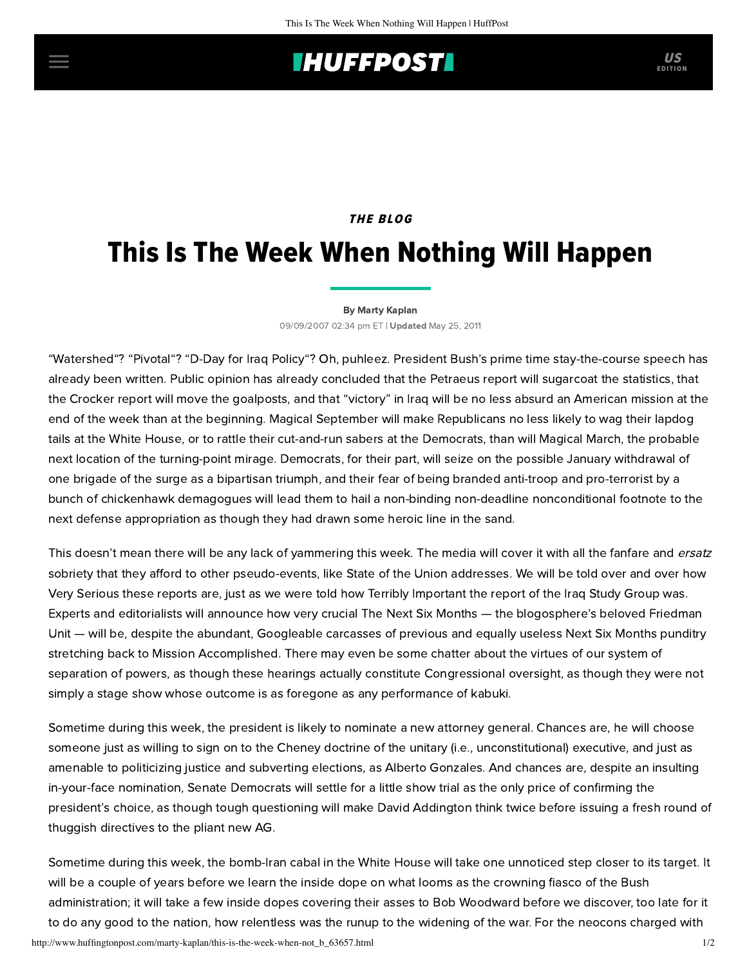## **INUFFPOST**

## THE BLOG

# This Is The Week When Nothing Will Happen

#### [By Marty Kaplan](http://www.huffingtonpost.com/author/marty-kaplan)

09/09/2007 02:34 pm ET | Updated May 25, 2011

"[Watershed"](http://www.smh.com.au/news/world/bush-hopes-report-can-sway-congress/2007/09/09/1189276544469.html)? ["Pivotal](http://www.washingtonpost.com/wp-dyn/content/article/2007/09/08/AR2007090801846.html?hpid=topnews)"? "[D-Day for Iraq Policy](http://news.yahoo.com/s/afp/20070909/wl_mideast_afp/usiraqpolicy_070909155112;_ylt=ArqRVo3EqcMo4GAw2j3uHjiaOrgF)"? Oh, puhleez. President Bush's prime time stay-the-course speech has already been written. Public opinion has already concluded that the Petraeus report will sugarcoat the statistics, that the Crocker report will move the goalposts, and that "victory" in Iraq will be no less absurd an American mission at the end of the week than at the beginning. Magical September will make Republicans no less likely to wag their lapdog tails at the White House, or to rattle their cut-and-run sabers at the Democrats, than will Magical March, the probable next location of the turning-point mirage. Democrats, for their part, will seize on the possible January withdrawal of one brigade of the surge as a bipartisan triumph, and their fear of being branded anti-troop and pro-terrorist by a bunch of chickenhawk demagogues will lead them to hail a non-binding non-deadline nonconditional footnote to the next defense appropriation as though they had drawn some heroic line in the sand.

This doesn't mean there will be any lack of yammering this week. The media will cover it with all the fanfare and ersatz sobriety that they afford to other pseudo-events, like State of the Union addresses. We will be told over and over how Very Serious these reports are, just as we were told how Terribly Important the report of the Iraq Study Group was. Experts and editorialists will announce how very crucial The Next Six Months — the blogosphere's beloved Friedman Unit — will be, despite the abundant, Googleable carcasses of previous and equally useless Next Six Months punditry stretching back to Mission Accomplished. There may even be some chatter about the virtues of our system of separation of powers, as though these hearings actually constitute Congressional oversight, as though they were not simply a stage show whose outcome is as foregone as any performance of kabuki.

Sometime during this week, the president is likely to nominate a new attorney general. Chances are, he will choose someone just as willing to sign on to the Cheney doctrine of the unitary (i.e., unconstitutional) executive, and just as amenable to politicizing justice and subverting elections, as Alberto Gonzales. And chances are, despite an insulting in-your-face nomination, Senate Democrats will settle for a little show trial as the only price of confirming the president's choice, as though tough questioning will make David Addington think twice before issuing a fresh round of thuggish directives to the pliant new AG.

Sometime during this week, the bomb-Iran cabal in the White House will take one unnoticed step closer to its target. It will be a couple of years before we learn the inside dope on what looms as the crowning fiasco of the Bush administration; it will take a few inside dopes covering their asses to Bob Woodward before we discover, too late for it to do any good to the nation, how relentless was the runup to the widening of the war. For the neocons charged with